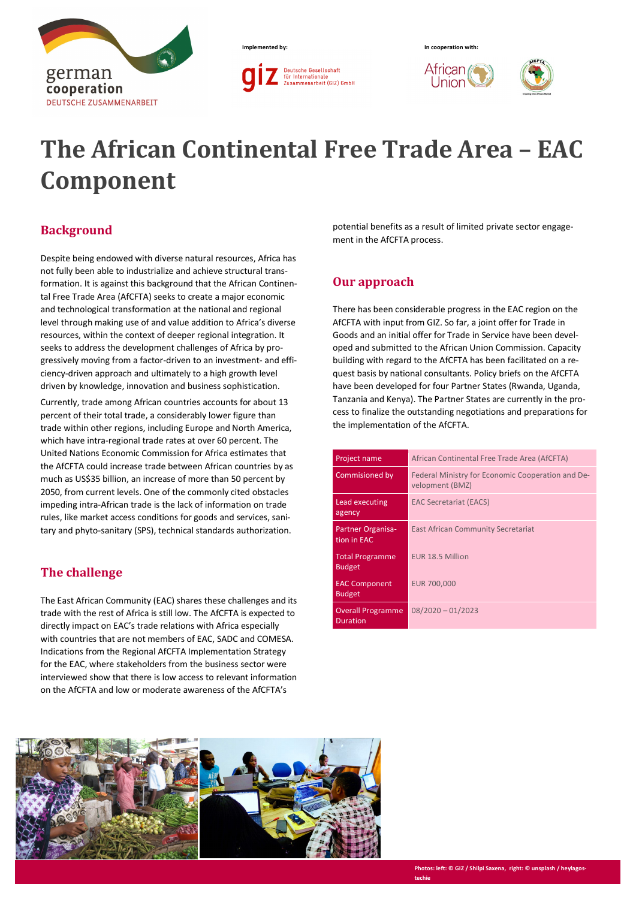





Union



# **The African Continental Free Trade Area – EAC Component**

## **Background**

Despite being endowed with diverse natural resources, Africa has not fully been able to industrialize and achieve structural transformation. It is against this background that the African Continental Free Trade Area (AfCFTA) seeks to create a major economic and technological transformation at the national and regional level through making use of and value addition to Africa's diverse resources, within the context of deeper regional integration. It seeks to address the development challenges of Africa by progressively moving from a factor-driven to an investment- and efficiency-driven approach and ultimately to a high growth level driven by knowledge, innovation and business sophistication.

Currently, trade among African countries accounts for about 13 percent of their total trade, a considerably lower figure than trade within other regions, including Europe and North America, which have intra-regional trade rates at over 60 percent. The United Nations Economic Commission for Africa estimates that the AfCFTA could increase trade between African countries by as much as US\$35 billion, an increase of more than 50 percent by 2050, from current levels. One of the commonly cited obstacles impeding intra-African trade is the lack of information on trade rules, like market access conditions for goods and services, sanitary and phyto-sanitary (SPS), technical standards authorization.

## **The challenge**

The East African Community (EAC) shares these challenges and its trade with the rest of Africa is still low. The AfCFTA is expected to directly impact on EAC's trade relations with Africa especially with countries that are not members of EAC, SADC and COMESA. Indications from the Regional AfCFTA Implementation Strategy for the EAC, where stakeholders from the business sector were interviewed show that there is low access to relevant information on the AfCFTA and low or moderate awareness of the AfCFTA's

potential benefits as a result of limited private sector engagement in the AfCFTA process.

## **Our approach**

There has been considerable progress in the EAC region on the AfCFTA with input from GIZ. So far, a joint offer for Trade in Goods and an initial offer for Trade in Service have been developed and submitted to the African Union Commission. Capacity building with regard to the AfCFTA has been facilitated on a request basis by national consultants. Policy briefs on the AfCFTA have been developed for four Partner States (Rwanda, Uganda, Tanzania and Kenya). The Partner States are currently in the process to finalize the outstanding negotiations and preparations for the implementation of the AfCFTA.

| Project name                                | African Continental Free Trade Area (AfCFTA)                         |  |  |
|---------------------------------------------|----------------------------------------------------------------------|--|--|
| Commisioned by                              | Federal Ministry for Economic Cooperation and De-<br>velopment (BMZ) |  |  |
| Lead executing<br>agency                    | <b>EAC Secretariat (EACS)</b>                                        |  |  |
| <b>Partner Organisa-</b><br>tion in EAC     | East African Community Secretariat                                   |  |  |
| <b>Total Programme</b><br><b>Budget</b>     | EUR 18.5 Million                                                     |  |  |
| <b>EAC Component</b><br><b>Budget</b>       | EUR 700,000                                                          |  |  |
| <b>Overall Programme</b><br><b>Duration</b> | $08/2020 - 01/2023$                                                  |  |  |